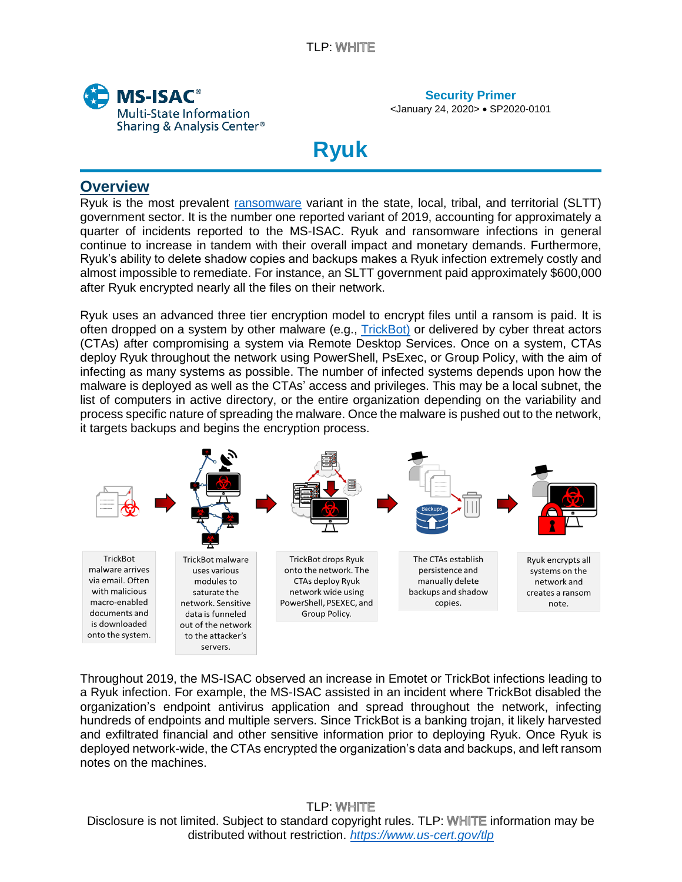

<January 24, 2020> • SP2020-0101

# **Ryuk**

# **Overview**

i<br>I

Ryuk is the most prevalent [ransomware](https://www.cisecurity.org/white-papers/security-primer-ransomware/) variant in the state, local, tribal, and territorial (SLTT) government sector. It is the number one reported variant of 2019, accounting for approximately a quarter of incidents reported to the MS-ISAC. Ryuk and ransomware infections in general continue to increase in tandem with their overall impact and monetary demands. Furthermore, Ryuk's ability to delete shadow copies and backups makes a Ryuk infection extremely costly and almost impossible to remediate. For instance, an SLTT government paid approximately \$600,000 after Ryuk encrypted nearly all the files on their network.

Ryuk uses an advanced three tier encryption model to encrypt files until a ransom is paid. It is often dropped on a system by other malware (e.g., [TrickBot\)](https://www.cisecurity.org/white-papers/security-primer-trickbot/) or delivered by cyber threat actors (CTAs) after compromising a system via Remote Desktop Services. Once on a system, CTAs deploy Ryuk throughout the network using PowerShell, PsExec, or Group Policy, with the aim of infecting as many systems as possible. The number of infected systems depends upon how the malware is deployed as well as the CTAs' access and privileges. This may be a local subnet, the list of computers in active directory, or the entire organization depending on the variability and process specific nature of spreading the malware. Once the malware is pushed out to the network, it targets backups and begins the encryption process.



Throughout 2019, the MS-ISAC observed an increase in Emotet or TrickBot infections leading to a Ryuk infection. For example, the MS-ISAC assisted in an incident where TrickBot disabled the organization's endpoint antivirus application and spread throughout the network, infecting hundreds of endpoints and multiple servers. Since TrickBot is a banking trojan, it likely harvested and exfiltrated financial and other sensitive information prior to deploying Ryuk. Once Ryuk is deployed network-wide, the CTAs encrypted the organization's data and backups, and left ransom notes on the machines.

**TLP: WHITE** Disclosure is not limited. Subject to standard copyright rules. TLP: WHITE information may be distributed without restriction. *<https://www.us-cert.gov/tlp>*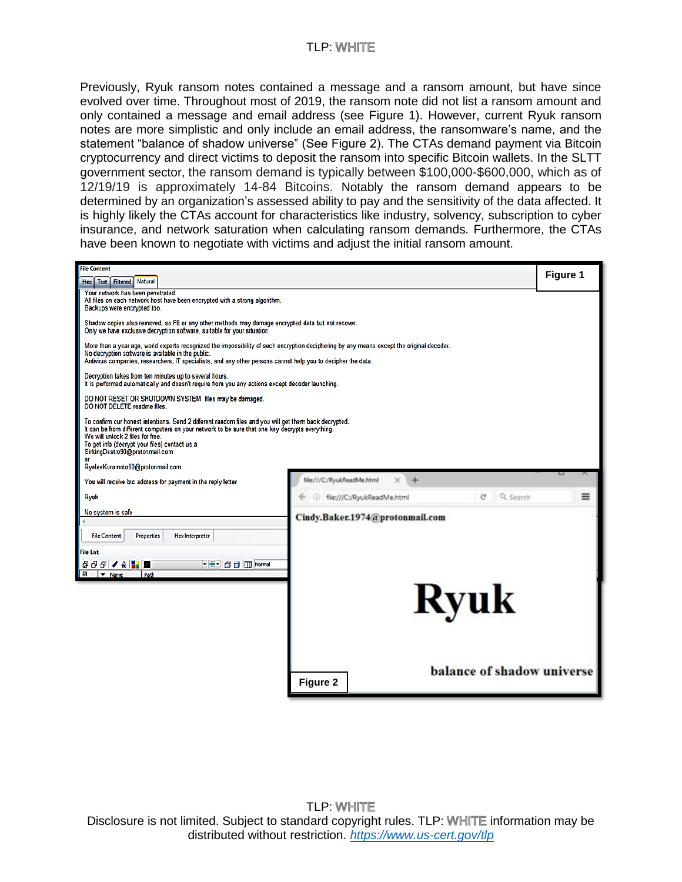#### **TLP: WHITE**

Previously, Ryuk ransom notes contained a message and a ransom amount, but have since evolved over time. Throughout most of 2019, the ransom note did not list a ransom amount and only contained a message and email address (see Figure 1). However, current Ryuk ransom notes are more simplistic and only include an email address, the ransomware's name, and the statement "balance of shadow universe" (See Figure 2). The CTAs demand payment via Bitcoin cryptocurrency and direct victims to deposit the ransom into specific Bitcoin wallets. In the SLTT government sector, the ransom demand is typically between \$100,000-\$600,000, which as of 12/19/19 is approximately 14-84 Bitcoins. Notably the ransom demand appears to be determined by an organization's assessed ability to pay and the sensitivity of the data affected. It is highly likely the CTAs account for characteristics like industry, solvency, subscription to cyber insurance, and network saturation when calculating ransom demands. Furthermore, the CTAs have been known to negotiate with victims and adjust the initial ransom amount.

| <b>File Content</b>                                                                                                                                                                                                                                                                                                                                                |                                                              |                   |                        |                                             | Figure 1 |
|--------------------------------------------------------------------------------------------------------------------------------------------------------------------------------------------------------------------------------------------------------------------------------------------------------------------------------------------------------------------|--------------------------------------------------------------|-------------------|------------------------|---------------------------------------------|----------|
| Hex   Text   Filtered   Natural                                                                                                                                                                                                                                                                                                                                    |                                                              |                   |                        |                                             |          |
| Your network has been penetrated.<br>All files on each network host have been encrypted with a strong algorithm.<br>Backups were encrypted too.                                                                                                                                                                                                                    |                                                              |                   |                        |                                             |          |
| Shadow copies also removed, so F8 or any other methods may damage encrypted data but not recover.<br>Only we have exclusive decryption software, suitable for your situation.                                                                                                                                                                                      |                                                              |                   |                        |                                             |          |
| More than a year ago, world experts recognized the impossibility of such encryption deciphering by any means except the original decoder.<br>No decryption software is available in the public.<br>Antivirus companies, researchers, IT specialists, and any other persons cannot help you to decipher the data.                                                   |                                                              |                   |                        |                                             |          |
| Decryption takes from ten minutes up to several hours.<br>It is performed automatically and doesn't require from you any actions except decoder launching.                                                                                                                                                                                                         |                                                              |                   |                        |                                             |          |
| DO NOT RESET OR SHUTDOWN SYSTEM files may be damaged.<br>DO NOT DELETE readme files.                                                                                                                                                                                                                                                                               |                                                              |                   |                        |                                             |          |
| To confirm our honest intentions. Send 2 different random files and you will get them back decrypted.<br>It can be from different computers on your network to be sure that one key decrypts everything.<br>We will unlock 2 files for free.<br>To get info (decrypt your files) contact us a<br>SirkingDestro90@protonmail.com<br>RyeleeKuramoto90@protonmail.com |                                                              |                   |                        |                                             |          |
|                                                                                                                                                                                                                                                                                                                                                                    |                                                              |                   |                        |                                             |          |
|                                                                                                                                                                                                                                                                                                                                                                    | You will receive btc address for payment in the reply letter |                   |                        | file:///C:/RyukReadMe.html                  |          |
| Ryuk                                                                                                                                                                                                                                                                                                                                                               |                                                              |                   |                        | Q Search<br>file:///C:/RyukReadMe.html<br>C | ≡        |
| No system is safe                                                                                                                                                                                                                                                                                                                                                  |                                                              |                   |                        | Cindy.Baker.1974@protonmail.com             |          |
| $\epsilon$                                                                                                                                                                                                                                                                                                                                                         |                                                              |                   |                        |                                             |          |
| <b>File Content</b>                                                                                                                                                                                                                                                                                                                                                |                                                              | <b>Properties</b> | <b>Hex Interpreter</b> |                                             |          |
| <b>File List</b>                                                                                                                                                                                                                                                                                                                                                   |                                                              |                   |                        |                                             |          |
| 800 / K 3 0<br>$\Box$ $\blacktriangledown$ Name                                                                                                                                                                                                                                                                                                                    |                                                              | Path              | VEY O D Normal         |                                             |          |
|                                                                                                                                                                                                                                                                                                                                                                    |                                                              |                   |                        |                                             |          |
|                                                                                                                                                                                                                                                                                                                                                                    | <b>Ryuk</b>                                                  |                   |                        |                                             |          |
|                                                                                                                                                                                                                                                                                                                                                                    |                                                              |                   |                        |                                             |          |
|                                                                                                                                                                                                                                                                                                                                                                    |                                                              |                   |                        |                                             |          |
|                                                                                                                                                                                                                                                                                                                                                                    |                                                              |                   |                        |                                             |          |
|                                                                                                                                                                                                                                                                                                                                                                    |                                                              |                   |                        |                                             |          |
|                                                                                                                                                                                                                                                                                                                                                                    |                                                              |                   |                        | balance of shadow universe                  |          |
|                                                                                                                                                                                                                                                                                                                                                                    |                                                              |                   |                        | <b>Figure 2</b>                             |          |
|                                                                                                                                                                                                                                                                                                                                                                    |                                                              |                   |                        |                                             |          |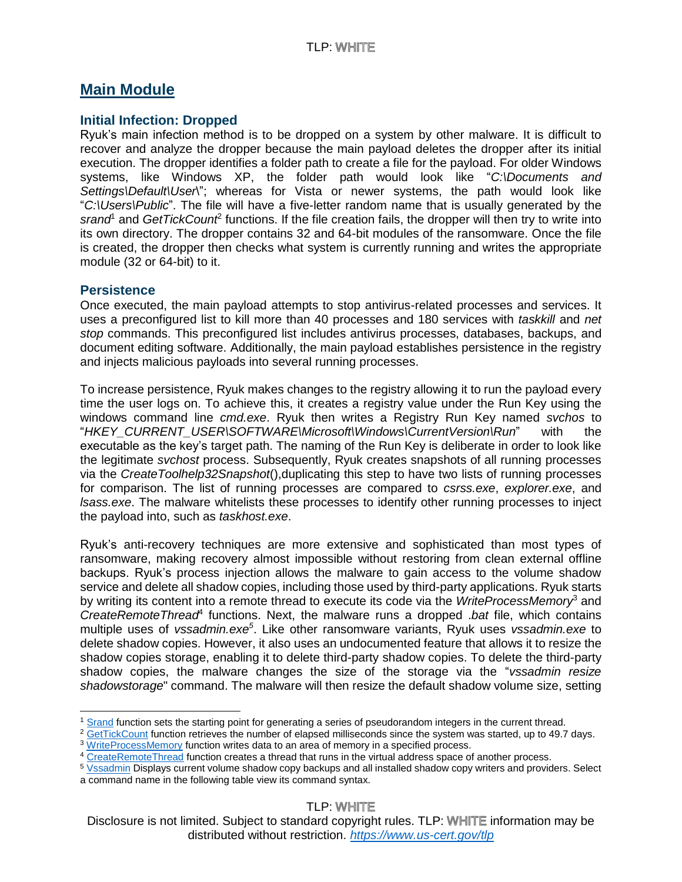## **Main Module**

#### **Initial Infection: Dropped**

Ryuk's main infection method is to be dropped on a system by other malware. It is difficult to recover and analyze the dropper because the main payload deletes the dropper after its initial execution. The dropper identifies a folder path to create a file for the payload. For older Windows systems, like Windows XP, the folder path would look like "*C:\Documents and Settings\Default\User*\"; whereas for Vista or newer systems, the path would look like "*C:\Users\Public*". The file will have a five-letter random name that is usually generated by the srand<sup>1</sup> and *GetTickCount<sup>2</sup>* functions. If the file creation fails, the dropper will then try to write into its own directory. The dropper contains 32 and 64-bit modules of the ransomware. Once the file is created, the dropper then checks what system is currently running and writes the appropriate module (32 or 64-bit) to it.

#### **Persistence**

Once executed, the main payload attempts to stop antivirus-related processes and services. It uses a preconfigured list to kill more than 40 processes and 180 services with *taskkill* and *net stop* commands. This preconfigured list includes antivirus processes, databases, backups, and document editing software. Additionally, the main payload establishes persistence in the registry and injects malicious payloads into several running processes.

To increase persistence, Ryuk makes changes to the registry allowing it to run the payload every time the user logs on. To achieve this, it creates a registry value under the Run Key using the windows command line *cmd.exe*. Ryuk then writes a Registry Run Key named *svchos* to "*HKEY\_CURRENT\_USER\SOFTWARE\Microsoft\Windows\CurrentVersion\Run*" with the executable as the key's target path. The naming of the Run Key is deliberate in order to look like the legitimate *svchost* process. Subsequently, Ryuk creates snapshots of all running processes via the *CreateToolhelp32Snapshot*(),duplicating this step to have two lists of running processes for comparison. The list of running processes are compared to *csrss.exe*, *explorer.exe*, and *lsass.exe*. The malware whitelists these processes to identify other running processes to inject the payload into, such as *taskhost.exe*.

Ryuk's anti-recovery techniques are more extensive and sophisticated than most types of ransomware, making recovery almost impossible without restoring from clean external offline backups. Ryuk's process injection allows the malware to gain access to the volume shadow service and delete all shadow copies, including those used by third-party applications. Ryuk starts by writing its content into a remote thread to execute its code via the *WriteProcessMemory*<sup>3</sup> and CreateRemoteThread<sup>4</sup> functions. Next, the malware runs a dropped .*bat* file, which contains multiple uses of *vssadmin.exe<sup>5</sup>* . Like other ransomware variants, Ryuk uses *vssadmin.exe* to delete shadow copies. However, it also uses an undocumented feature that allows it to resize the shadow copies storage, enabling it to delete third-party shadow copies. To delete the third-party shadow copies, the malware changes the size of the storage via the "*vssadmin resize shadowstorage*" command. The malware will then resize the default shadow volume size, setting

**TLP: WHITE** 

Disclosure is not limited. Subject to standard copyright rules. TLP: WHITE information may be distributed without restriction. *<https://www.us-cert.gov/tlp>*

 $\overline{a}$ <sup>1</sup> [Srand](https://docs.microsoft.com/en-us/previous-versions/f0d4wb4t(v%3Dvs.140)) function sets the starting point for generating a series of pseudorandom integers in the current thread.

<sup>&</sup>lt;sup>2</sup> [GetTickCount](https://docs.microsoft.com/en-us/windows/win32/api/sysinfoapi/nf-sysinfoapi-gettickcount) function retrieves the number of elapsed milliseconds since the system was started, up to 49.7 days.

<sup>3</sup> [WriteProcessMemory](https://docs.microsoft.com/en-us/windows/win32/api/memoryapi/nf-memoryapi-writeprocessmemory) function writes data to an area of memory in a specified process.

<sup>4</sup> [CreateRemoteThread](https://docs.microsoft.com/en-us/windows/win32/api/processthreadsapi/nf-processthreadsapi-createremotethread) function creates a thread that runs in the virtual address space of another process.

<sup>5</sup> [Vssadmin](https://docs.microsoft.com/en-us/windows-server/administration/windows-commands/vssadmin) Displays current volume shadow copy backups and all installed shadow copy writers and providers. Select a command name in the following table view its command syntax.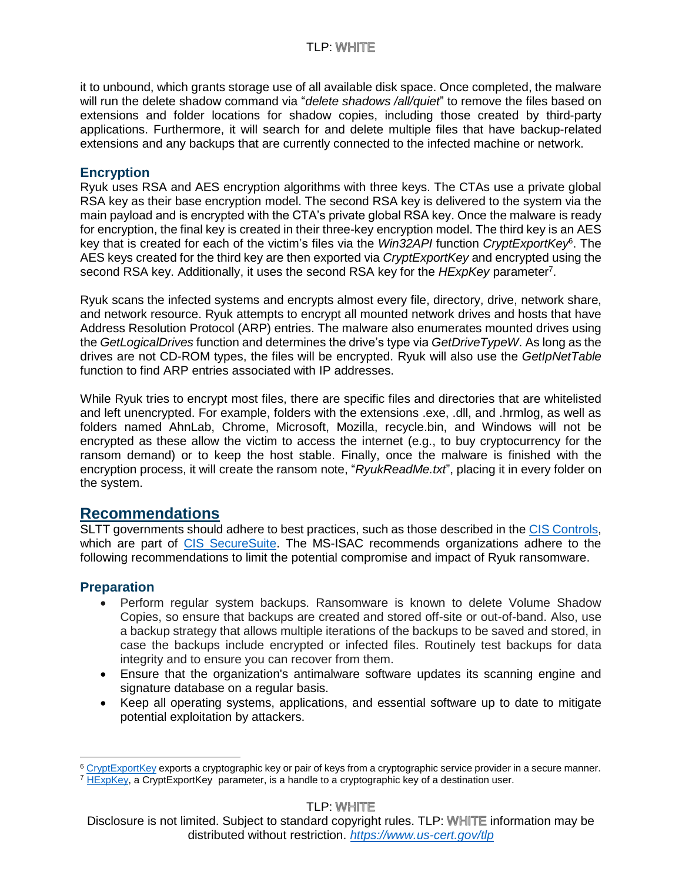it to unbound, which grants storage use of all available disk space. Once completed, the malware will run the delete shadow command via "*delete shadows /all/quiet*" to remove the files based on extensions and folder locations for shadow copies, including those created by third-party applications. Furthermore, it will search for and delete multiple files that have backup-related extensions and any backups that are currently connected to the infected machine or network.

#### **Encryption**

Ryuk uses RSA and AES encryption algorithms with three keys. The CTAs use a private global RSA key as their base encryption model. The second RSA key is delivered to the system via the main payload and is encrypted with the CTA's private global RSA key. Once the malware is ready for encryption, the final key is created in their three-key encryption model. The third key is an AES key that is created for each of the victim's files via the *Win32API* function *CryptExportKey*<sup>6</sup> . The AES keys created for the third key are then exported via *CryptExportKey* and encrypted using the second RSA key. Additionally, it uses the second RSA key for the *HExpKey* parameter<sup>7</sup>.

Ryuk scans the infected systems and encrypts almost every file, directory, drive, network share, and network resource. Ryuk attempts to encrypt all mounted network drives and hosts that have Address Resolution Protocol (ARP) entries. The malware also enumerates mounted drives using the *GetLogicalDrives* function and determines the drive's type via *GetDriveTypeW*. As long as the drives are not CD-ROM types, the files will be encrypted. Ryuk will also use the *GetIpNetTable* function to find ARP entries associated with IP addresses.

While Ryuk tries to encrypt most files, there are specific files and directories that are whitelisted and left unencrypted. For example, folders with the extensions .exe, .dll, and .hrmlog, as well as folders named AhnLab, Chrome, Microsoft, Mozilla, recycle.bin, and Windows will not be encrypted as these allow the victim to access the internet (e.g., to buy cryptocurrency for the ransom demand) or to keep the host stable. Finally, once the malware is finished with the encryption process, it will create the ransom note, "*RyukReadMe.txt*", placing it in every folder on the system.

## **Recommendations**

SLTT governments should adhere to best practices, such as those described in the [CIS Controls,](https://learn.cisecurity.org/cis-controls-download) which are part of [CIS SecureSuite.](https://www.cisecurity.org/cis-securesuite/) The MS-ISAC recommends organizations adhere to the following recommendations to limit the potential compromise and impact of Ryuk ransomware.

#### **Preparation**

 $\overline{a}$ 

- Perform regular system backups. Ransomware is known to delete Volume Shadow Copies, so ensure that backups are created and stored off-site or out-of-band. Also, use a backup strategy that allows multiple iterations of the backups to be saved and stored, in case the backups include encrypted or infected files. Routinely test backups for data integrity and to ensure you can recover from them.
- Ensure that the organization's antimalware software updates its scanning engine and signature database on a regular basis.
- Keep all operating systems, applications, and essential software up to date to mitigate potential exploitation by attackers.

**TLP: WHITE** 

Disclosure is not limited. Subject to standard copyright rules. TLP: WHITE information may be distributed without restriction. *<https://www.us-cert.gov/tlp>*

<sup>6</sup> [CryptExportKey](https://docs.microsoft.com/en-us/windows/win32/api/wincrypt/nf-wincrypt-cryptexportkey) exports a cryptographic key or pair of keys from a cryptographic service provider in a secure manner.

 $^7$  [HExpKey,](https://docs.microsoft.com/en-us/windows/win32/api/wincrypt/nf-wincrypt-cryptexportkey) a CryptExportKey parameter, is a handle to a cryptographic key of a destination user.